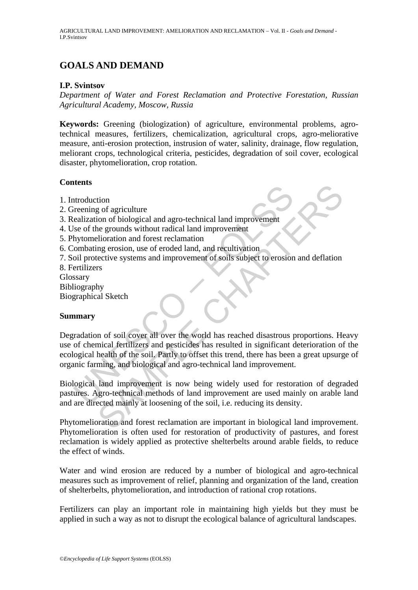# **GOALS AND DEMAND**

### **I.P. Svintsov**

*Department of Water and Forest Reclamation and Protective Forestation, Russian Agricultural Academy, Moscow, Russia* 

**Keywords:** Greening (biologization) of agriculture, environmental problems, agrotechnical measures, fertilizers, chemicalization, agricultural crops, agro-meliorative measure, anti-erosion protection, instrusion of water, salinity, drainage, flow regulation, meliorant crops, technological criteria, pesticides, degradation of soil cover, ecological disaster, phytomelioration, crop rotation.

## **Contents**

- 1. Introduction
- 2. Greening of agriculture
- 3. Realization of biological and agro-technical land improvement
- 4. Use of the grounds without radical land improvement
- 5. Phytomelioration and forest reclamation
- 6. Combating erosion, use of eroded land, and recultivation
- 7. Soil protective systems and improvement of soils subject to erosion and deflation
- 8. Fertilizers
- Glossary
- Bibliography
- Biographical Sketch

#### **Summary**

The term of a streament of a streament and streament technical and improvement<br>that is seed for the grounds without radical land improvement<br>thytomelioration and forest reclamation<br>(ombating erosion, use of eroded land, an The state of state and approximation<br>of solicity and approximation of stological and approximate the grounds without radical land improvement<br>the growing erosion, use of eroded land, and recultivation<br>mercive systems and i Degradation of soil cover all over the world has reached disastrous proportions. Heavy use of chemical fertilizers and pesticides has resulted in significant deterioration of the ecological health of the soil. Partly to offset this trend, there has been a great upsurge of organic farming, and biological and agro-technical land improvement.

Biological land improvement is now being widely used for restoration of degraded pastures. Agro-technical methods of land improvement are used mainly on arable land and are directed mainly at loosening of the soil, i.e. reducing its density.

Phytomelioration and forest reclamation are important in biological land improvement. Phytomelioration is often used for restoration of productivity of pastures, and forest reclamation is widely applied as protective shelterbelts around arable fields, to reduce the effect of winds.

Water and wind erosion are reduced by a number of biological and agro-technical measures such as improvement of relief, planning and organization of the land, creation of shelterbelts, phytomelioration, and introduction of rational crop rotations.

Fertilizers can play an important role in maintaining high yields but they must be applied in such a way as not to disrupt the ecological balance of agricultural landscapes.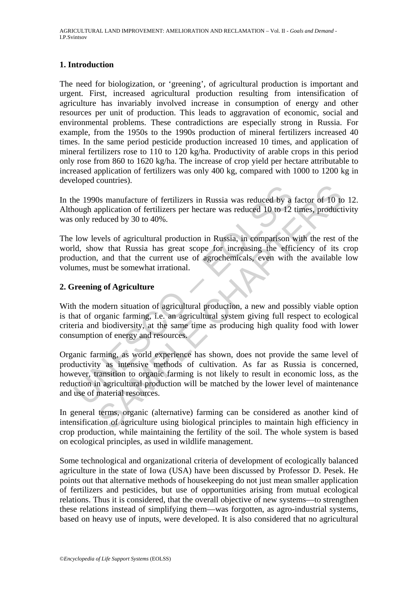# **1. Introduction**

The need for biologization, or 'greening', of agricultural production is important and urgent. First, increased agricultural production resulting from intensification of agriculture has invariably involved increase in consumption of energy and other resources per unit of production. This leads to aggravation of economic, social and environmental problems. These contradictions are especially strong in Russia. For example, from the 1950s to the 1990s production of mineral fertilizers increased 40 times. In the same period pesticide production increased 10 times, and application of mineral fertilizers rose to 110 to 120 kg/ha. Productivity of arable crops in this period only rose from 860 to 1620 kg/ha. The increase of crop yield per hectare attributable to increased application of fertilizers was only 400 kg, compared with 1000 to 1200 kg in developed countries).

In the 1990s manufacture of fertilizers in Russia was reduced by a factor of 10 to 12. Although application of fertilizers per hectare was reduced 10 to 12 times, productivity was only reduced by 30 to 40%.

The low levels of agricultural production in Russia, in comparison with the rest of the world, show that Russia has great scope for increasing the efficiency of its crop production, and that the current use of agrochemicals, even with the available low volumes, must be somewhat irrational.

## **2. Greening of Agriculture**

With the modern situation of agricultural production, a new and possibly viable option is that of organic farming, i.e. an agricultural system giving full respect to ecological criteria and biodiversity, at the same time as producing high quality food with lower consumption of energy and resources.

<sup>1</sup><br>
he 1990s manufacture of fertilizers in Russia was reduced by a<br>
nough application of fertilizers per hectare was reduced 10 to 12<br>
only reduced by 30 to 40%.<br>
low levels of agricultural production in Russia, in compar Demanta. The symparity of fertilizers in Russia was reduced by a factor of 10 to<br>pplication of fertilizers per hectare was reduced 10 to 12 times, producti<br>duced by 30 to 40%.<br>Wels of agricultural production in Russia, in Organic farming, as world experience has shown, does not provide the same level of productivity as intensive methods of cultivation. As far as Russia is concerned, however, transition to organic farming is not likely to result in economic loss, as the reduction in agricultural production will be matched by the lower level of maintenance and use of material resources.

In general terms, organic (alternative) farming can be considered as another kind of intensification of agriculture using biological principles to maintain high efficiency in crop production, while maintaining the fertility of the soil. The whole system is based on ecological principles, as used in wildlife management.

Some technological and organizational criteria of development of ecologically balanced agriculture in the state of Iowa (USA) have been discussed by Professor D. Pesek. He points out that alternative methods of housekeeping do not just mean smaller application of fertilizers and pesticides, but use of opportunities arising from mutual ecological relations. Thus it is considered, that the overall objective of new systems—to strengthen these relations instead of simplifying them—was forgotten, as agro-industrial systems, based on heavy use of inputs, were developed. It is also considered that no agricultural